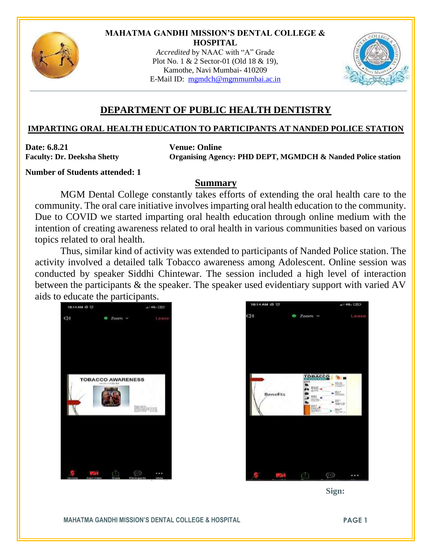

#### **MAHATMA GANDHI MISSION'S DENTAL COLLEGE & HOSPITAL**

*Accredited* by NAAC with "A" Grade Plot No. 1 & 2 Sector-01 (Old 18 & 19), Kamothe, Navi Mumbai- 410209 E-Mail ID: [mgmdch@mgmmumbai.ac.in](mailto:mgmdch@mgmmumbai.ac.in)



# **DEPARTMENT OF PUBLIC HEALTH DENTISTRY**

### **IMPARTING ORAL HEALTH EDUCATION TO PARTICIPANTS AT NANDED POLICE STATION**

**Date: 6.8.21 Venue: Online**

Faculty: Dr. Deeksha Shetty Organising Agency: PHD DEPT, MGMDCH & Nanded Police station

#### **Number of Students attended: 1**

## **Summary**

MGM Dental College constantly takes efforts of extending the oral health care to the community. The oral care initiative involves imparting oral health education to the community. Due to COVID we started imparting oral health education through online medium with the intention of creating awareness related to oral health in various communities based on various topics related to oral health.

Thus, similar kind of activity was extended to participants of Nanded Police station. The activity involved a detailed talk Tobacco awareness among Adolescent. Online session was conducted by speaker Siddhi Chintewar. The session included a high level of interaction between the participants & the speaker. The speaker used evidentiary support with varied AV aids to educate the participants.





 **Sign:**